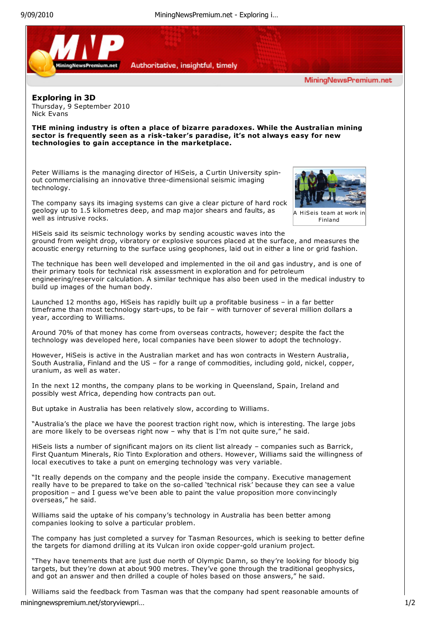

Williams said the feedback from Tasman was that the company had spent reasonable amounts of miningnewspremium.net/storyviewpri… 1/2

and got an answer and then drilled a couple of holes based on those answers," he said.